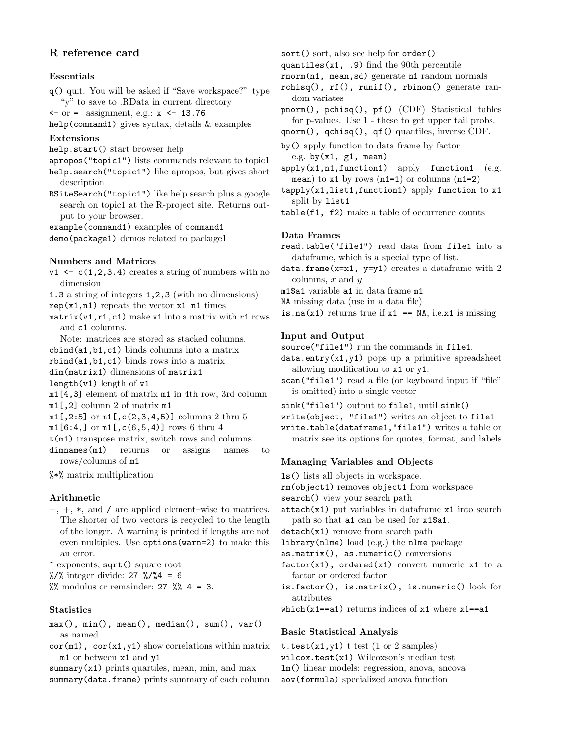# R reference card

# Essentials

q() quit. You will be asked if "Save workspace?" type "y" to save to .RData in current directory

 $\langle -\text{ or } = \text{ assignment}, \text{ e.g.: } x \langle -\text{ 13.76} \rangle$ 

help(command1) gives syntax, details & examples

### Extensions

- help.start() start browser help
- apropos("topic1") lists commands relevant to topic1
- help.search("topic1") like apropos, but gives short description
- RSiteSearch("topic1") like help.search plus a google search on topic1 at the R-project site. Returns output to your browser.

example(command1) examples of command1

demo(package1) demos related to package1

### Numbers and Matrices

- $v1 \leftarrow c(1,2,3.4)$  creates a string of numbers with no dimension
- 1:3 a string of integers 1,2,3 (with no dimensions)
- $rep(x1, n1)$  repeats the vector  $x1$  n1 times
- $matrix(v1, r1, c1)$  make v1 into a matrix with r1 rows and c1 columns.
- Note: matrices are stored as stacked columns.
- cbind(a1,b1,c1) binds columns into a matrix
- rbind(a1,b1,c1) binds rows into a matrix
- dim(matrix1) dimensions of matrix1
- length(v1) length of v1
- m1[4,3] element of matrix m1 in 4th row, 3rd column m1[,2] column 2 of matrix m1
- 
- $m1$ [,2:5] or  $m1$ [,c(2,3,4,5)] columns 2 thru 5
- $m1[6:4]$  or  $m1[$ ,  $c(6,5,4)$ ] rows 6 thru 4
- $t(m1)$  transpose matrix, switch rows and columns
- dimnames(m1) returns or assigns names to rows/columns of m1

%\*% matrix multiplication

### Arithmetic

- −, +, \*, and / are applied element–wise to matrices. The shorter of two vectors is recycled to the length of the longer. A warning is printed if lengths are not even multiples. Use options(warn=2) to make this an error.
- ^ exponents, sqrt() square root
- $\frac{1}{2}$  /% integer divide: 27 %/%4 = 6

 $\%$  modulus or remainder: 27  $\%$  4 = 3.

#### **Statistics**

- max(), min(), mean(), median(), sum(), var() as named
- $cor(m1)$ ,  $cor(x1,y1)$  show correlations within matrix m1 or between x1 and y1

summary $(x1)$  prints quartiles, mean, min, and max summary(data.frame) prints summary of each column

- sort() sort, also see help for order()
- quantiles $(x1, .9)$  find the 90th percentile
- rnorm(n1, mean,sd) generate n1 random normals
- rchisq(), rf(), runif(), rbinom() generate random variates
- pnorm(), pchisq(), pf() (CDF) Statistical tables for p-values. Use 1 - these to get upper tail probs.
- qnorm(), qchisq(), qf() quantiles, inverse CDF.
- by() apply function to data frame by factor e.g. by $(x1, g1, mean)$
- $apply(x1,n1,function1)$  apply function1 (e.g. mean) to  $x1$  by rows  $(n1=1)$  or columns  $(n1=2)$
- $t$ apply(x1,list1,function1) apply function to x1 split by list1
- table(f1, f2) make a table of occurrence counts

#### Data Frames

- read.table("file1") read data from file1 into a dataframe, which is a special type of list.
- $data-frame(x=x1, y=y1)$  creates a dataframe with 2 columns, *x* and *y*
- m1\$a1 variable a1 in data frame m1
- NA missing data (use in a data file)
- is.na(x1) returns true if  $x1 == NA$ , i.e.x1 is missing

### Input and Output

source("file1") run the commands in file1.

data.entry(x1,y1) pops up a primitive spreadsheet allowing modification to x1 or y1.

- scan("file1") read a file (or keyboard input if "file" is omitted) into a single vector
- sink("file1") output to file1, until sink()
- write(object, "file1") writes an object to file1
- write.table(dataframe1,"file1") writes a table or matrix see its options for quotes, format, and labels

#### Managing Variables and Objects

- ls() lists all objects in workspace.
- rm(object1) removes object1 from workspace
- search() view your search path
- attach(x1) put variables in dataframe x1 into search path so that a1 can be used for x1\$a1.
- detach(x1) remove from search path

```
library(nlme) load (e.g.) the nlme package
```
- as.matrix(), as.numeric() conversions
- $factor(x1)$ , ordered(x1) convert numeric x1 to a factor or ordered factor
- is.factor(), is.matrix(), is.numeric() look for attributes
- which( $x1 == a1$ ) returns indices of  $x1$  where  $x1 == a1$

## Basic Statistical Analysis

- t.test $(x1,y1)$  t test  $(1 \text{ or } 2 \text{ samples})$
- wilcox.test(x1) Wilcoxson's median test
- lm() linear models: regression, anova, ancova
- aov(formula) specialized anova function